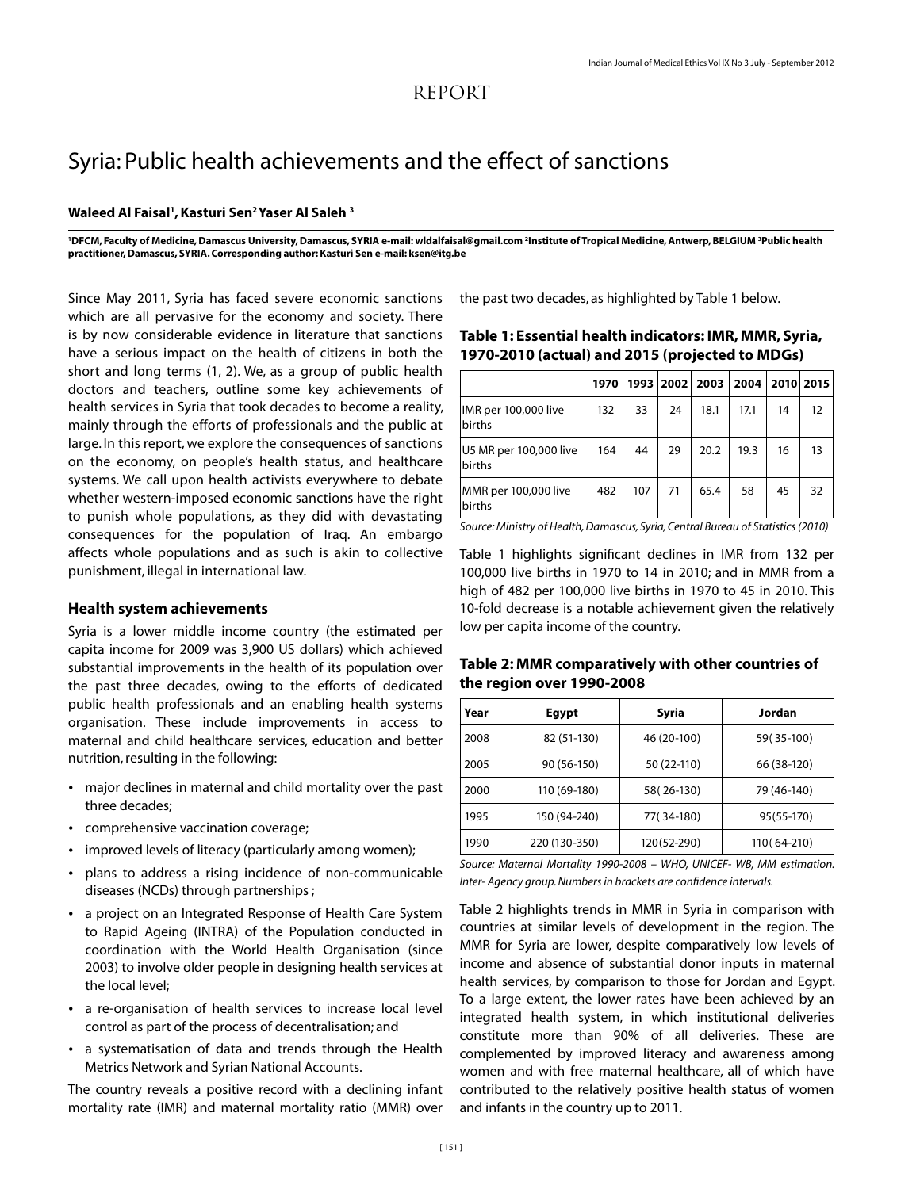## REPORT

# Syria: Public health achievements and the effect of sanctions

## **Waleed Al Faisal1 ,Kasturi Sen2Yaser Al Saleh <sup>3</sup>**

<sup>1</sup>DFCM, Faculty of Medicine, Damascus University, Damascus, SYRIA e-mail: wIdalfaisal@gmail.com <sup>2</sup>Institute of Tropical Medicine, Antwerp, BELGIUM <sup>3</sup>Public health **practitioner,Damascus, SYRIA.Corresponding author: Kasturi Sen e-mail: ksen@itg.be**

Since May 2011, Syria has faced severe economic sanctions which are all pervasive for the economy and society. There is by now considerable evidence in literature that sanctions have a serious impact on the health of citizens in both the short and long terms (1, 2). We, as a group of public health doctors and teachers, outline some key achievements of health services in Syria that took decades to become a reality, mainly through the efforts of professionals and the public at large. In this report, we explore the consequences of sanctions on the economy, on people's health status, and healthcare systems. We call upon health activists everywhere to debate whether western-imposed economic sanctions have the right to punish whole populations, as they did with devastating consequences for the population of Iraq. An embargo affects whole populations and as such is akin to collective punishment, illegal in international law.

## **Health system achievements**

Syria is a lower middle income country (the estimated per capita income for 2009 was 3,900 US dollars) which achieved substantial improvements in the health of its population over the past three decades, owing to the efforts of dedicated public health professionals and an enabling health systems organisation. These include improvements in access to maternal and child healthcare services, education and better nutrition, resulting in the following:

- major declines in maternal and child mortality over the past three decades;
- comprehensive vaccination coverage;
- improved levels of literacy (particularly among women);  $\bullet$
- plans to address a rising incidence of non-communicable diseases (NCDs) through partnerships ; ü
- a project on an Integrated Response of Health Care System to Rapid Ageing (INTRA) of the Population conducted in coordination with the World Health Organisation (since 2003) to involve older people in designing health services at the local level;
- a re-organisation of health services to increase local level control as part of the process of decentralisation; and
- a systematisation of data and trends through the Health Metrics Network and Syrian National Accounts.

The country reveals a positive record with a declining infant mortality rate (IMR) and maternal mortality ratio (MMR) over the past two decades, as highlighted by Table 1 below.

| Table 1: Essential health indicators: IMR, MMR, Syria, |  |  |  |                                                                                                                                                                                                                                |  |  |  |
|--------------------------------------------------------|--|--|--|--------------------------------------------------------------------------------------------------------------------------------------------------------------------------------------------------------------------------------|--|--|--|
| 1970-2010 (actual) and 2015 (projected to MDGs)        |  |  |  |                                                                                                                                                                                                                                |  |  |  |
|                                                        |  |  |  | and the contract of the contract of the contract of the contract of the contract of the contract of the contract of the contract of the contract of the contract of the contract of the contract of the contract of the contra |  |  |  |

|                                  | 1970 |     |    | 1993   2002   2003   2004   2010   2015 |      |    |                   |
|----------------------------------|------|-----|----|-----------------------------------------|------|----|-------------------|
| IMR per 100,000 live<br>births   | 132  | 33  | 24 | 18.1                                    | 17.1 | 14 | $12 \overline{ }$ |
| U5 MR per 100,000 live<br>births | 164  | 44  | 29 | 20.2                                    | 19.3 | 16 | 13                |
| MMR per 100,000 live<br>births   | 482  | 107 | 71 | 65.4                                    | 58   | 45 | 32                |

*Source: Ministry of Health, Damascus, Syria, Central Bureau of Statistics (2010)*

Table 1 highlights significant declines in IMR from 132 per 100,000 live births in 1970 to 14 in 2010; and in MMR from a high of 482 per 100,000 live births in 1970 to 45 in 2010. This 10-fold decrease is a notable achievement given the relatively low per capita income of the country.

### **Table 2: MMR comparatively with other countries of the region over 1990-2008**

| Year | Egypt         | Syria       | Jordan         |
|------|---------------|-------------|----------------|
| 2008 | 82 (51-130)   | 46 (20-100) | 59 (35-100)    |
| 2005 | 90 (56-150)   | 50 (22-110) | 66 (38-120)    |
| 2000 | 110 (69-180)  | 58 (26-130) | 79 (46-140)    |
| 1995 | 150 (94-240)  | 77(34-180)  | 95(55-170)     |
| 1990 | 220 (130-350) | 120(52-290) | 110 (64 - 210) |

*Source: Maternal Mortality 1990-2008 – WHO, UNICEF- WB, MM estimation. Inter- Agency group. Numbers in brackets are confidence intervals.* 

Table 2 highlights trends in MMR in Syria in comparison with countries at similar levels of development in the region. The MMR for Syria are lower, despite comparatively low levels of income and absence of substantial donor inputs in maternal health services, by comparison to those for Jordan and Egypt. To a large extent, the lower rates have been achieved by an integrated health system, in which institutional deliveries constitute more than 90% of all deliveries. These are complemented by improved literacy and awareness among women and with free maternal healthcare, all of which have contributed to the relatively positive health status of women and infants in the country up to 2011.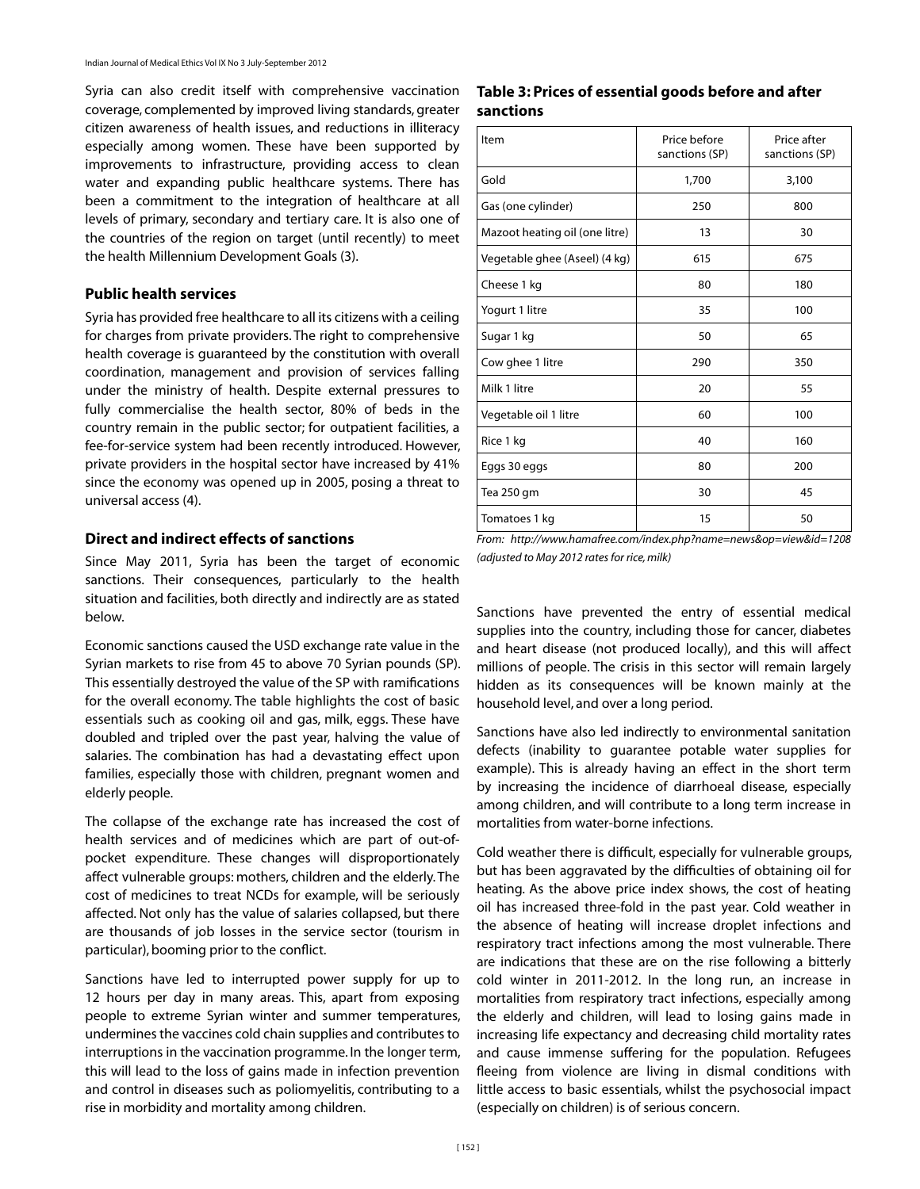Syria can also credit itself with comprehensive vaccination coverage, complemented by improved living standards, greater citizen awareness of health issues, and reductions in illiteracy especially among women. These have been supported by improvements to infrastructure, providing access to clean water and expanding public healthcare systems. There has been a commitment to the integration of healthcare at all levels of primary, secondary and tertiary care. It is also one of the countries of the region on target (until recently) to meet the health Millennium Development Goals (3).

#### **Public health services**

Syria has provided free healthcare to all its citizens with a ceiling for charges from private providers. The right to comprehensive health coverage is guaranteed by the constitution with overall coordination, management and provision of services falling under the ministry of health. Despite external pressures to fully commercialise the health sector, 80% of beds in the country remain in the public sector; for outpatient facilities, a fee-for-service system had been recently introduced. However, private providers in the hospital sector have increased by 41% since the economy was opened up in 2005, posing a threat to universal access (4).

#### **Direct and indirect effects of sanctions**

Since May 2011, Syria has been the target of economic sanctions. Their consequences, particularly to the health situation and facilities, both directly and indirectly are as stated below.

Economic sanctions caused the USD exchange rate value in the Syrian markets to rise from 45 to above 70 Syrian pounds (SP). This essentially destroyed the value of the SP with ramifications for the overall economy. The table highlights the cost of basic essentials such as cooking oil and gas, milk, eggs. These have doubled and tripled over the past year, halving the value of salaries. The combination has had a devastating effect upon families, especially those with children, pregnant women and elderly people.

The collapse of the exchange rate has increased the cost of health services and of medicines which are part of out-ofpocket expenditure. These changes will disproportionately affect vulnerable groups: mothers, children and the elderly. The cost of medicines to treat NCDs for example, will be seriously affected. Not only has the value of salaries collapsed, but there are thousands of job losses in the service sector (tourism in particular), booming prior to the conflict.

Sanctions have led to interrupted power supply for up to 12 hours per day in many areas. This, apart from exposing people to extreme Syrian winter and summer temperatures, undermines the vaccines cold chain supplies and contributes to interruptions in the vaccination programme. In the longer term, this will lead to the loss of gains made in infection prevention and control in diseases such as poliomyelitis, contributing to a rise in morbidity and mortality among children.

#### **Table 3: Prices of essential goods before and after sanctions**

| Item                           | Price before<br>sanctions (SP) | Price after<br>sanctions (SP) |  |
|--------------------------------|--------------------------------|-------------------------------|--|
| Gold                           | 1,700                          | 3,100                         |  |
| Gas (one cylinder)             | 250                            | 800                           |  |
| Mazoot heating oil (one litre) | 13                             | 30                            |  |
| Vegetable ghee (Aseel) (4 kg)  | 615                            | 675                           |  |
| Cheese 1 kg                    | 80                             | 180                           |  |
| Yogurt 1 litre                 | 35                             | 100                           |  |
| Sugar 1 kg                     | 50                             | 65                            |  |
| Cow ghee 1 litre               | 290                            | 350                           |  |
| Milk 1 litre                   | 20                             | 55                            |  |
| Vegetable oil 1 litre          | 60                             | 100                           |  |
| Rice 1 kg                      | 40                             | 160                           |  |
| Eggs 30 eggs                   | 80                             | 200                           |  |
| Tea 250 gm                     | 30                             | 45                            |  |
| Tomatoes 1 kg                  | 15                             | 50                            |  |

*From: http://www.hamafree.com/index.php?name=news&op=view&id=1208 (adjusted to May 2012 rates for rice, milk)*

Sanctions have prevented the entry of essential medical supplies into the country, including those for cancer, diabetes and heart disease (not produced locally), and this will affect millions of people. The crisis in this sector will remain largely hidden as its consequences will be known mainly at the household level, and over a long period.

Sanctions have also led indirectly to environmental sanitation defects (inability to guarantee potable water supplies for example). This is already having an effect in the short term by increasing the incidence of diarrhoeal disease, especially among children, and will contribute to a long term increase in mortalities from water-borne infections.

Cold weather there is difficult, especially for vulnerable groups, but has been aggravated by the difficulties of obtaining oil for heating. As the above price index shows, the cost of heating oil has increased three-fold in the past year. Cold weather in the absence of heating will increase droplet infections and respiratory tract infections among the most vulnerable. There are indications that these are on the rise following a bitterly cold winter in 2011-2012. In the long run, an increase in mortalities from respiratory tract infections, especially among the elderly and children, will lead to losing gains made in increasing life expectancy and decreasing child mortality rates and cause immense suffering for the population. Refugees fleeing from violence are living in dismal conditions with little access to basic essentials, whilst the psychosocial impact (especially on children) is of serious concern.